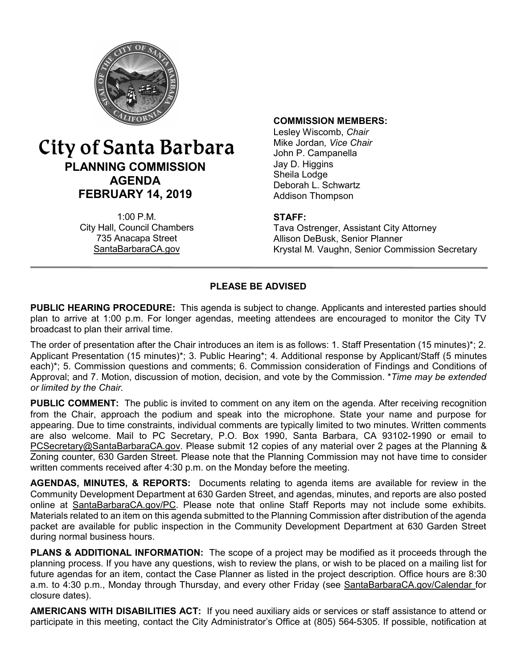

# City of Santa Barbara **PLANNING COMMISSION AGENDA FEBRUARY 14, 2019**

1:00 P.M. City Hall, Council Chambers 735 Anacapa Street SantaBarbaraCA.gov

#### **COMMISSION MEMBERS:**

Lesley Wiscomb, *Chair* Mike Jordan*, Vice Chair* John P. Campanella Jay D. Higgins Sheila Lodge Deborah L. Schwartz Addison Thompson

### **STAFF:**

Tava Ostrenger, Assistant City Attorney Allison DeBusk, Senior Planner Krystal M. Vaughn, Senior Commission Secretary

# **PLEASE BE ADVISED**

**PUBLIC HEARING PROCEDURE:** This agenda is subject to change. Applicants and interested parties should plan to arrive at 1:00 p.m. For longer agendas, meeting attendees are encouraged to monitor the City TV broadcast to plan their arrival time.

The order of presentation after the Chair introduces an item is as follows: 1. Staff Presentation (15 minutes)\*; 2. Applicant Presentation (15 minutes)\*; 3. Public Hearing\*; 4. Additional response by Applicant/Staff (5 minutes each)\*; 5. Commission questions and comments; 6. Commission consideration of Findings and Conditions of Approval; and 7. Motion, discussion of motion, decision, and vote by the Commission. \**Time may be extended or limited by the Chair.*

**PUBLIC COMMENT:** The public is invited to comment on any item on the agenda. After receiving recognition from the Chair, approach the podium and speak into the microphone. State your name and purpose for appearing. Due to time constraints, individual comments are typically limited to two minutes. Written comments are also welcome. Mail to PC Secretary, P.O. Box 1990, Santa Barbara, CA 93102-1990 or email to [PCSecretary@SantaBarbaraCA.gov](mailto:PCSecretary@SantaBarbaraCA.gov). Please submit 12 copies of any material over 2 pages at the Planning & Zoning counter, 630 Garden Street. Please note that the Planning Commission may not have time to consider written comments received after 4:30 p.m. on the Monday before the meeting.

**AGENDAS, MINUTES, & REPORTS:** Documents relating to agenda items are available for review in the Community Development Department at 630 Garden Street, and agendas, minutes, and reports are also posted online at [SantaBarbaraCA.gov/PC](http://www.santabarbaraca.gov/PC). Please note that online Staff Reports may not include some exhibits. Materials related to an item on this agenda submitted to the Planning Commission after distribution of the agenda packet are available for public inspection in the Community Development Department at 630 Garden Street during normal business hours.

**PLANS & ADDITIONAL INFORMATION:** The scope of a project may be modified as it proceeds through the planning process. If you have any questions, wish to review the plans, or wish to be placed on a mailing list for future agendas for an item, contact the Case Planner as listed in the project description. Office hours are 8:30 a.m. to 4:30 p.m., Monday through Thursday, and every other Friday (see [SantaBarbaraCA.gov/Calendar](http://www.santabarbaraca.gov/cals/default.asp) for closure dates).

**AMERICANS WITH DISABILITIES ACT:** If you need auxiliary aids or services or staff assistance to attend or participate in this meeting, contact the City Administrator's Office at (805) 564-5305. If possible, notification at